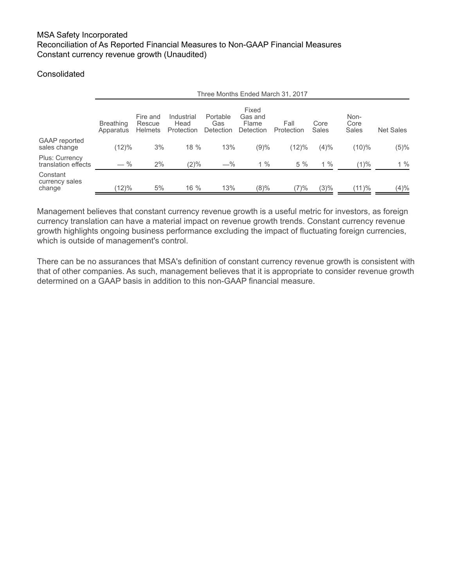# **Consolidated**

|                                              | Three Months Ended March 31, 2017 |                                      |                                  |                              |                                        |                    |               |                       |                  |
|----------------------------------------------|-----------------------------------|--------------------------------------|----------------------------------|------------------------------|----------------------------------------|--------------------|---------------|-----------------------|------------------|
|                                              | <b>Breathing</b><br>Apparatus     | Fire and<br>Rescue<br><b>Helmets</b> | Industrial<br>Head<br>Protection | Portable<br>Gas<br>Detection | Fixed<br>Gas and<br>Flame<br>Detection | Fall<br>Protection | Core<br>Sales | Non-<br>Core<br>Sales | <b>Net Sales</b> |
| GAAP reported<br>sales change                | (12)%                             | 3%                                   | $18 \%$                          | 13%                          | (9)%                                   | (12)%              | (4)%          | $(10)\%$              | $(5)\%$          |
| <b>Plus: Currency</b><br>translation effects | $-$ %                             | 2%                                   | $(2)\%$                          | $-\%$                        | $1\%$                                  | 5%                 | $1\%$         | $(1)\%$               | $1\%$            |
| Constant<br>currency sales<br>change         | $(12)\%$                          | 5%                                   | 16 %                             | 13%                          | (8)%                                   | (7)%               | $(3)\%$       | (11)%                 | (4)%             |

Management believes that constant currency revenue growth is a useful metric for investors, as foreign currency translation can have a material impact on revenue growth trends. Constant currency revenue growth highlights ongoing business performance excluding the impact of fluctuating foreign currencies, which is outside of management's control.

There can be no assurances that MSA's definition of constant currency revenue growth is consistent with that of other companies. As such, management believes that it is appropriate to consider revenue growth determined on a GAAP basis in addition to this non-GAAP financial measure.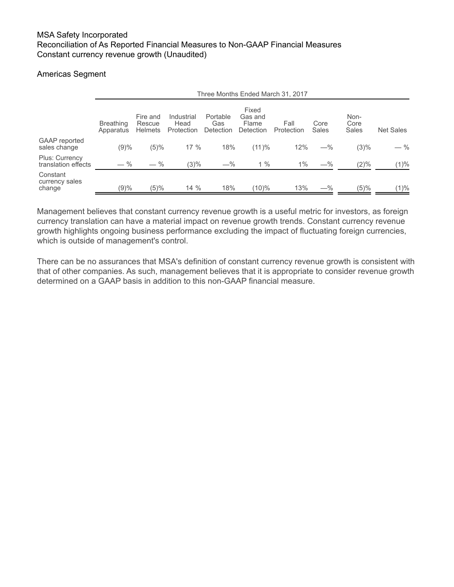# Americas Segment

|                                              | Three Months Ended March 31, 2017 |                                      |                                  |                              |                                        |                    |               |                       |                  |
|----------------------------------------------|-----------------------------------|--------------------------------------|----------------------------------|------------------------------|----------------------------------------|--------------------|---------------|-----------------------|------------------|
|                                              | <b>Breathing</b><br>Apparatus     | Fire and<br>Rescue<br><b>Helmets</b> | Industrial<br>Head<br>Protection | Portable<br>Gas<br>Detection | Fixed<br>Gas and<br>Flame<br>Detection | Fall<br>Protection | Core<br>Sales | Non-<br>Core<br>Sales | <b>Net Sales</b> |
| <b>GAAP</b> reported<br>sales change         | (9)%                              | $(5)\%$                              | $17\%$                           | 18%                          | (11)%                                  | 12%                | $-$ %         | $(3)\%$               | — %              |
| <b>Plus: Currency</b><br>translation effects | $-$ %                             | $-$ %                                | $(3)\%$                          | $-\%$                        | $1\%$                                  | $1\%$              | $-\%$         | $(2)\%$               | (1)%             |
| Constant<br>currency sales<br>change         | (9)%                              | (5)%                                 | 14%                              | 18%                          | (10)%                                  | 13%                | $-\%$         | (5)%                  | $(1) \%$         |

Management believes that constant currency revenue growth is a useful metric for investors, as foreign currency translation can have a material impact on revenue growth trends. Constant currency revenue growth highlights ongoing business performance excluding the impact of fluctuating foreign currencies, which is outside of management's control.

There can be no assurances that MSA's definition of constant currency revenue growth is consistent with that of other companies. As such, management believes that it is appropriate to consider revenue growth determined on a GAAP basis in addition to this non-GAAP financial measure.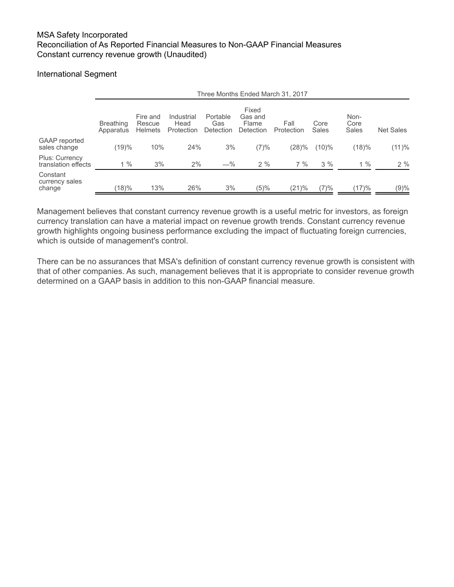#### International Segment

|                                              | Three Months Ended March 31, 2017 |                                      |                                  |                              |                                        |                    |               |                       |                  |
|----------------------------------------------|-----------------------------------|--------------------------------------|----------------------------------|------------------------------|----------------------------------------|--------------------|---------------|-----------------------|------------------|
|                                              | <b>Breathing</b><br>Apparatus     | Fire and<br>Rescue<br><b>Helmets</b> | Industrial<br>Head<br>Protection | Portable<br>Gas<br>Detection | Fixed<br>Gas and<br>Flame<br>Detection | Fall<br>Protection | Core<br>Sales | Non-<br>Core<br>Sales | <b>Net Sales</b> |
| GAAP reported<br>sales change                | (19)%                             | 10%                                  | 24%                              | 3%                           | (7)%                                   | (28)%              | $(10)\%$      | (18)%                 | (11)%            |
| <b>Plus: Currency</b><br>translation effects | $1\%$                             | 3%                                   | 2%                               | $-\%$                        | 2%                                     | $7\%$              | 3%            | $1\%$                 | 2%               |
| Constant<br>currency sales<br>change         | (18)%                             | 13%                                  | 26%                              | 3%                           | (5)%                                   | (21)%              | (7)%          | (17)%                 | (9)%             |

Management believes that constant currency revenue growth is a useful metric for investors, as foreign currency translation can have a material impact on revenue growth trends. Constant currency revenue growth highlights ongoing business performance excluding the impact of fluctuating foreign currencies, which is outside of management's control.

There can be no assurances that MSA's definition of constant currency revenue growth is consistent with that of other companies. As such, management believes that it is appropriate to consider revenue growth determined on a GAAP basis in addition to this non-GAAP financial measure.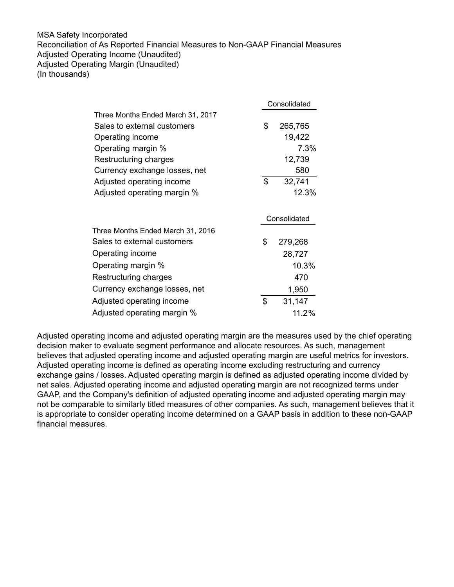## MSA Safety Incorporated Reconciliation of As Reported Financial Measures to Non-GAAP Financial Measures Adjusted Operating Income (Unaudited) Adjusted Operating Margin (Unaudited) (In thousands)

|                                   | Consolidated  |
|-----------------------------------|---------------|
| Three Months Ended March 31, 2017 |               |
| Sales to external customers       | \$<br>265,765 |
| Operating income                  | 19,422        |
| Operating margin %                | 7.3%          |
| Restructuring charges             | 12,739        |
| Currency exchange losses, net     | 580           |
| Adjusted operating income         | \$<br>32,741  |
| Adjusted operating margin %       | 12.3%         |
|                                   | Consolidated  |
| Three Months Ended March 31, 2016 |               |
| Sales to external customers       | \$<br>279,268 |
| Operating income                  | 28,727        |
| Operating margin %                | 10.3%         |
| Restructuring charges             | 470           |
| Currency exchange losses, net     | 1,950         |
| Adjusted operating income         | \$<br>31,147  |
| Adjusted operating margin %       | 11.2%         |
|                                   |               |

Adjusted operating income and adjusted operating margin are the measures used by the chief operating decision maker to evaluate segment performance and allocate resources. As such, management believes that adjusted operating income and adjusted operating margin are useful metrics for investors. Adjusted operating income is defined as operating income excluding restructuring and currency exchange gains / losses. Adjusted operating margin is defined as adjusted operating income divided by net sales. Adjusted operating income and adjusted operating margin are not recognized terms under GAAP, and the Company's definition of adjusted operating income and adjusted operating margin may not be comparable to similarly titled measures of other companies. As such, management believes that it is appropriate to consider operating income determined on a GAAP basis in addition to these non-GAAP financial measures.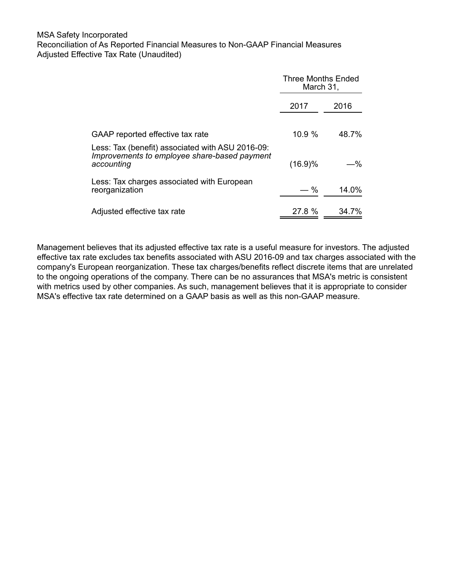## MSA Safety Incorporated Reconciliation of As Reported Financial Measures to Non-GAAP Financial Measures Adjusted Effective Tax Rate (Unaudited)

|                                                                                                                | <b>Three Months Ended</b><br>March 31, |       |  |
|----------------------------------------------------------------------------------------------------------------|----------------------------------------|-------|--|
|                                                                                                                | 2017                                   | 2016  |  |
| GAAP reported effective tax rate                                                                               | 10.9%                                  | 48.7% |  |
| Less: Tax (benefit) associated with ASU 2016-09:<br>Improvements to employee share-based payment<br>accounting | $(16.9)\%$                             | -%    |  |
| Less: Tax charges associated with European<br>reorganization                                                   | %                                      | 14.0% |  |
| Adjusted effective tax rate                                                                                    | 27.8 %                                 | 34.7% |  |

Management believes that its adjusted effective tax rate is a useful measure for investors. The adjusted effective tax rate excludes tax benefits associated with ASU 2016-09 and tax charges associated with the company's European reorganization. These tax charges/benefits reflect discrete items that are unrelated to the ongoing operations of the company. There can be no assurances that MSA's metric is consistent with metrics used by other companies. As such, management believes that it is appropriate to consider MSA's effective tax rate determined on a GAAP basis as well as this non-GAAP measure.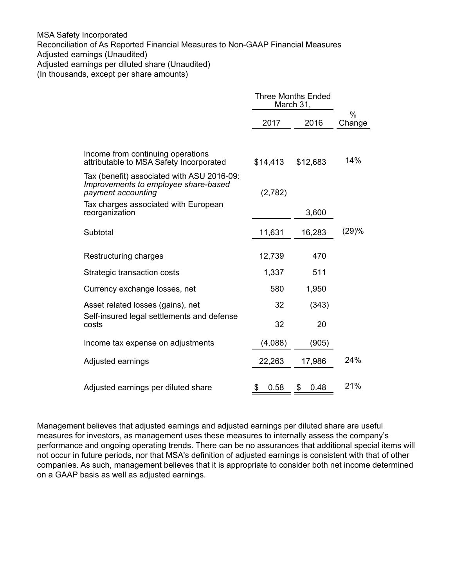#### MSA Safety Incorporated

Reconciliation of As Reported Financial Measures to Non-GAAP Financial Measures

Adjusted earnings (Unaudited)

Adjusted earnings per diluted share (Unaudited)

(In thousands, except per share amounts)

|                                                                                                          | <b>Three Months Ended</b><br>March 31, |            |                |
|----------------------------------------------------------------------------------------------------------|----------------------------------------|------------|----------------|
|                                                                                                          | 2017                                   | 2016       | $\%$<br>Change |
| Income from continuing operations<br>attributable to MSA Safety Incorporated                             | \$14,413                               | \$12,683   | 14%            |
| Tax (benefit) associated with ASU 2016-09:<br>Improvements to employee share-based<br>payment accounting | (2,782)                                |            |                |
| Tax charges associated with European<br>reorganization                                                   |                                        | 3,600      |                |
| Subtotal                                                                                                 | 11,631                                 | 16,283     | (29)%          |
| Restructuring charges                                                                                    | 12,739                                 | 470        |                |
| Strategic transaction costs                                                                              | 1,337                                  | 511        |                |
| Currency exchange losses, net                                                                            | 580                                    | 1,950      |                |
| Asset related losses (gains), net                                                                        | 32                                     | (343)      |                |
| Self-insured legal settlements and defense<br>costs                                                      | 32                                     | 20         |                |
| Income tax expense on adjustments                                                                        | (4,088)                                | (905)      |                |
| Adjusted earnings                                                                                        | 22,263                                 | 17,986     | 24%            |
| Adjusted earnings per diluted share                                                                      | \$<br>0.58                             | \$<br>0.48 | 21%            |

Management believes that adjusted earnings and adjusted earnings per diluted share are useful measures for investors, as management uses these measures to internally assess the company's performance and ongoing operating trends. There can be no assurances that additional special items will not occur in future periods, nor that MSA's definition of adjusted earnings is consistent with that of other companies. As such, management believes that it is appropriate to consider both net income determined on a GAAP basis as well as adjusted earnings.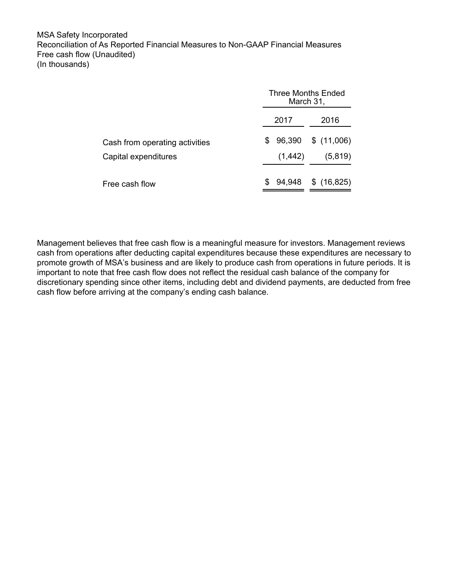MSA Safety Incorporated Reconciliation of As Reported Financial Measures to Non-GAAP Financial Measures Free cash flow (Unaudited) (In thousands)

|                                |      | Three Months Ended<br>March 31, |      |         |  |
|--------------------------------|------|---------------------------------|------|---------|--|
|                                | 2017 |                                 | 2016 |         |  |
| Cash from operating activities |      | $$96,390$$ $$(11,006)$          |      |         |  |
| Capital expenditures           |      | (1, 442)                        |      | (5,819) |  |
| Free cash flow                 | S    | 94,948 \$ (16,825)              |      |         |  |

Management believes that free cash flow is a meaningful measure for investors. Management reviews cash from operations after deducting capital expenditures because these expenditures are necessary to promote growth of MSA's business and are likely to produce cash from operations in future periods. It is important to note that free cash flow does not reflect the residual cash balance of the company for discretionary spending since other items, including debt and dividend payments, are deducted from free cash flow before arriving at the company's ending cash balance.